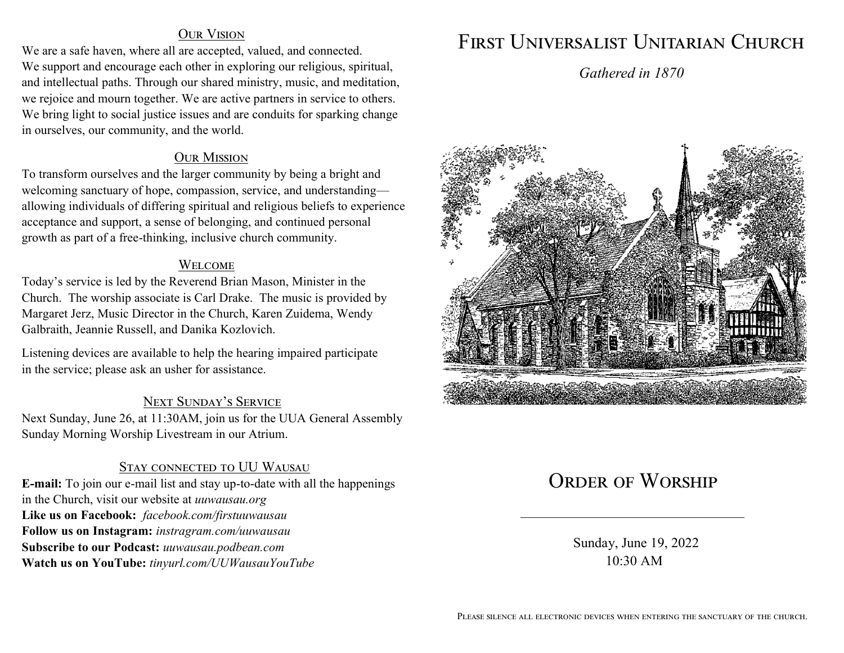#### Our Vision

We are a safe haven, where all are accepted, valued, and connected. We support and encourage each other in exploring our religious, spiritual, and intellectual paths. Through our shared ministry, music, and meditation, we rejoice and mourn together. We are active partners in service to others. We bring light to social justice issues and are conduits for sparking change in ourselves, our community, and the world.

#### **OUR MISSION**

To transform ourselves and the larger community by being a bright and welcoming sanctuary of hope, compassion, service, and understanding allowing individuals of differing spiritual and religious beliefs to experience acceptance and support, a sense of belonging, and continued personal growth as part of a free-thinking, inclusive church community.

#### **WELCOME**

Today's service is led by the Reverend Brian Mason, Minister in the Church. The worship associate is Carl Drake. The music is provided by Margaret Jerz, Music Director in the Church, Karen Zuidema, Wendy Galbraith, Jeannie Russell, and Danika Kozlovich.

Listening devices are available to help the hearing impaired participate in the service; please ask an usher for assistance.

### Next Sunday's Service

Next Sunday, June 26, at 11:30AM, join us for the UUA General Assembly Sunday Morning Worship Livestream in our Atrium.

### **STAY CONNECTED TO UU WAUSAU**

**E-mail:** To join our e-mail list and stay up-to-date with all the happenings in the Church, visit our website at *uuwausau.org* **Like us on Facebook:** *facebook.com/firstuuwausau* **Follow us on Instagram:** *instragram.com/uuwausau* **Subscribe to our Podcast:** *uuwausau.podbean.com* **Watch us on YouTube:** *tinyurl.com/UUWausauYouTube*

# First Universalist Unitarian Church

*Gathered in 1870*



# ORDER OF WORSHIP

 Sunday, June 19, 2022 10:30 AM